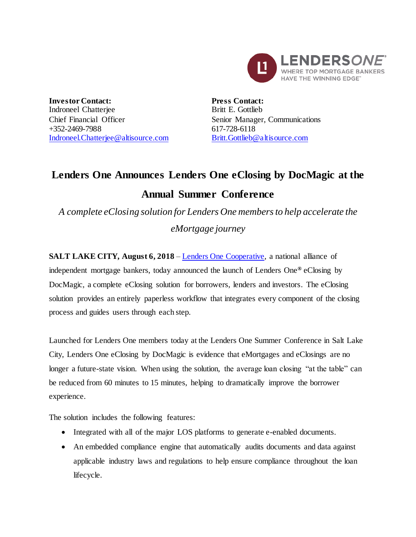

**Investor Contact:** Indroneel Chatterjee Chief Financial Officer +352-2469-7988 [Indroneel.Chatterjee@altisource.com](mailto:Indroneel.Chatterjee@altisource.com) **Press Contact:** Britt E. Gottlieb Senior Manager, Communications 617-728-6118 [Britt.Gottlieb@altisource.com](mailto:Britt.Gottlieb@altisource.com)

## **Lenders One Announces Lenders One eClosing by DocMagic at the Annual Summer Conference**

*A complete eClosing solution for Lenders One membersto help accelerate the eMortgage journey*

**SALT LAKE CITY, August 6, 2018** – [Lenders One Cooperative,](http://lendersone.com/?utm_campaign=L1docmagiceclose&utm_source=PR&utm_medium=PR&utm_content=first) a national alliance of independent mortgage bankers, today announced the launch of Lenders One**®** eClosing by DocMagic, a complete eClosing solution for borrowers, lenders and investors. The eClosing solution provides an entirely paperless workflow that integrates every component of the closing process and guides users through each step.

Launched for Lenders One members today at the Lenders One Summer Conference in Salt Lake City, Lenders One eClosing by DocMagic is evidence that eMortgages and eClosings are no longer a future-state vision. When using the solution, the average loan closing "at the table" can be reduced from 60 minutes to 15 minutes, helping to dramatically improve the borrower experience.

The solution includes the following features:

- Integrated with all of the major LOS platforms to generate e-enabled documents.
- An embedded compliance engine that automatically audits documents and data against applicable industry laws and regulations to help ensure compliance throughout the loan lifecycle.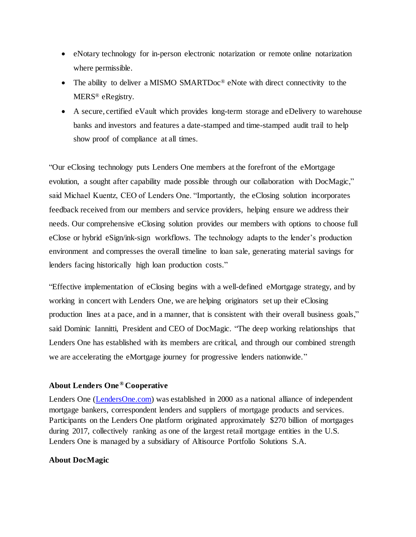- eNotary technology for in-person electronic notarization or remote online notarization where permissible.
- The ability to deliver a MISMO SMARTDoc<sup>®</sup> eNote with direct connectivity to the MERS® eRegistry.
- A secure, certified eVault which provides long-term storage and eDelivery to warehouse banks and investors and features a date-stamped and time-stamped audit trail to help show proof of compliance at all times.

"Our eClosing technology puts Lenders One members at the forefront of the eMortgage evolution, a sought after capability made possible through our collaboration with DocMagic," said Michael Kuentz, CEO of Lenders One. "Importantly, the eClosing solution incorporates feedback received from our members and service providers, helping ensure we address their needs. Our comprehensive eClosing solution provides our members with options to choose full eClose or hybrid eSign/ink-sign workflows. The technology adapts to the lender's production environment and compresses the overall timeline to loan sale, generating material savings for lenders facing historically high loan production costs."

"Effective implementation of eClosing begins with a well-defined eMortgage strategy, and by working in concert with Lenders One, we are helping originators set up their eClosing production lines at a pace, and in a manner, that is consistent with their overall business goals," said Dominic Iannitti, President and CEO of DocMagic. "The deep working relationships that Lenders One has established with its members are critical, and through our combined strength we are accelerating the eMortgage journey for progressive lenders nationwide."

## **About Lenders One ® Cooperative**

Lenders One [\(LendersOne.com\)](http://lendersone.com/?utm_campaign=L1docmagiceclose&utm_source=PR&utm_medium=PR&utm_content=boilerplate) was established in 2000 as a national alliance of independent mortgage bankers, correspondent lenders and suppliers of mortgage products and services. Participants on the Lenders One platform originated approximately \$270 billion of mortgages during 2017, collectively ranking as one of the largest retail mortgage entities in the U.S. Lenders One is managed by a subsidiary of Altisource Portfolio Solutions S.A.

## **About DocMagic**